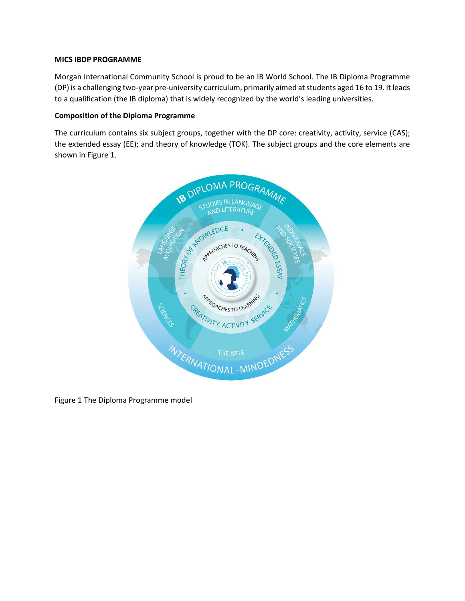### **MICS IBDP PROGRAMME**

Morgan International Community School is proud to be an IB World School. The IB Diploma Programme (DP) is a challenging two-year pre-university curriculum, primarily aimed at students aged 16 to 19. It leads to a qualification (the IB diploma) that is widely recognized by the world's leading universities.

#### **Composition of the Diploma Programme**

The curriculum contains six subject groups, together with the DP core: creativity, activity, service (CAS); the extended essay (EE); and theory of knowledge (TOK). The subject groups and the core elements are shown in Figure 1.



Figure 1 The Diploma Programme model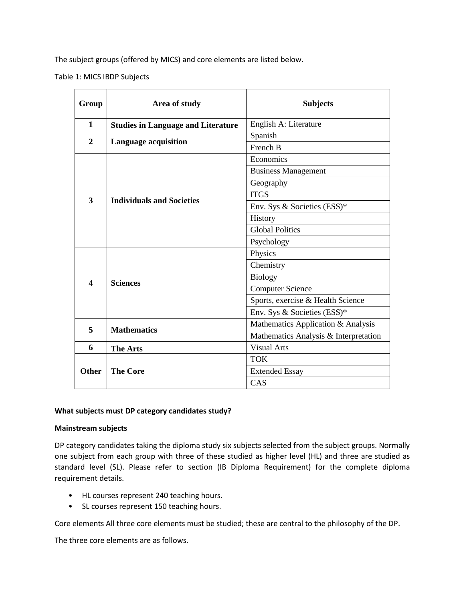The subject groups (offered by MICS) and core elements are listed below.

Table 1: MICS IBDP Subjects

| Group            | Area of study                             | <b>Subjects</b>                       |  |  |  |  |
|------------------|-------------------------------------------|---------------------------------------|--|--|--|--|
| 1                | <b>Studies in Language and Literature</b> | English A: Literature                 |  |  |  |  |
| $\overline{2}$   |                                           | Spanish                               |  |  |  |  |
|                  | <b>Language acquisition</b>               | French B                              |  |  |  |  |
| 3                |                                           | Economics                             |  |  |  |  |
|                  |                                           | <b>Business Management</b>            |  |  |  |  |
|                  |                                           | Geography                             |  |  |  |  |
|                  | <b>Individuals and Societies</b>          | <b>ITGS</b>                           |  |  |  |  |
|                  |                                           | Env. Sys & Societies (ESS)*           |  |  |  |  |
|                  |                                           | History                               |  |  |  |  |
|                  |                                           | <b>Global Politics</b>                |  |  |  |  |
|                  |                                           | Psychology                            |  |  |  |  |
|                  |                                           | Physics                               |  |  |  |  |
|                  |                                           | Chemistry                             |  |  |  |  |
| $\boldsymbol{4}$ | <b>Sciences</b>                           | <b>Biology</b>                        |  |  |  |  |
|                  |                                           | <b>Computer Science</b>               |  |  |  |  |
|                  |                                           | Sports, exercise & Health Science     |  |  |  |  |
|                  |                                           | Env. Sys & Societies (ESS)*           |  |  |  |  |
|                  | <b>Mathematics</b>                        | Mathematics Application & Analysis    |  |  |  |  |
| 5                |                                           | Mathematics Analysis & Interpretation |  |  |  |  |
| 6                | <b>The Arts</b>                           | <b>Visual Arts</b>                    |  |  |  |  |
|                  |                                           | <b>TOK</b>                            |  |  |  |  |
| <b>Other</b>     | <b>The Core</b>                           | <b>Extended Essay</b>                 |  |  |  |  |
|                  |                                           | CAS                                   |  |  |  |  |

# **What subjects must DP category candidates study?**

### **Mainstream subjects**

DP category candidates taking the diploma study six subjects selected from the subject groups. Normally one subject from each group with three of these studied as higher level (HL) and three are studied as standard level (SL). Please refer to section (IB Diploma Requirement) for the complete diploma requirement details.

- HL courses represent 240 teaching hours.
- SL courses represent 150 teaching hours.

Core elements All three core elements must be studied; these are central to the philosophy of the DP.

The three core elements are as follows.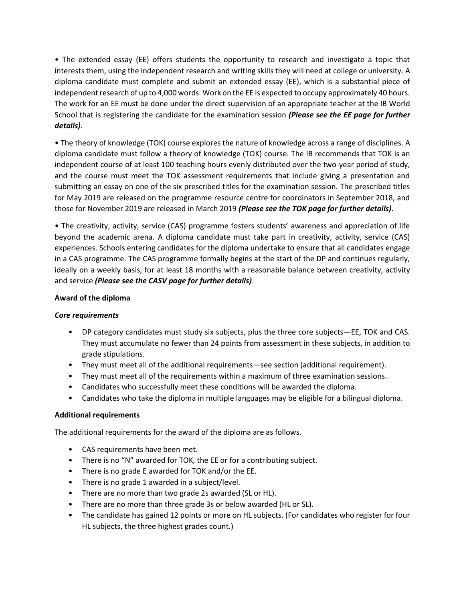• The extended essay (EE) offers students the opportunity to research and investigate a topic that interests them, using the independent research and writing skills they will need at college or university. A diploma candidate must complete and submit an extended essay (EE), which is a substantial piece of independent research of up to 4,000 words. Work on the EE is expected to occupy approximately 40 hours. The work for an EE must be done under the direct supervision of an appropriate teacher at the IB World School that is registering the candidate for the examination session *(Please see the EE page for further details)*.

• The theory of knowledge (TOK) course explores the nature of knowledge across a range of disciplines. A diploma candidate must follow a theory of knowledge (TOK) course. The IB recommends that TOK is an independent course of at least 100 teaching hours evenly distributed over the two-year period of study, and the course must meet the TOK assessment requirements that include giving a presentation and submitting an essay on one of the six prescribed titles for the examination session. The prescribed titles for May 2019 are released on the programme resource centre for coordinators in September 2018, and those for November 2019 are released in March 2019 *(Please see the TOK page for further details)*.

• The creativity, activity, service (CAS) programme fosters students' awareness and appreciation of life beyond the academic arena. A diploma candidate must take part in creativity, activity, service (CAS) experiences. Schools entering candidates for the diploma undertake to ensure that all candidates engage in a CAS programme. The CAS programme formally begins at the start of the DP and continues regularly, ideally on a weekly basis, for at least 18 months with a reasonable balance between creativity, activity and service *(Please see the CASV page for further details)*.

## **Award of the diploma**

### *Core requirements*

- DP category candidates must study six subjects, plus the three core subjects—EE, TOK and CAS. They must accumulate no fewer than 24 points from assessment in these subjects, in addition to grade stipulations.
- They must meet all of the additional requirements—see section (additional requirement).
- They must meet all of the requirements within a maximum of three examination sessions.
- Candidates who successfully meet these conditions will be awarded the diploma.
- Candidates who take the diploma in multiple languages may be eligible for a bilingual diploma.

# **Additional requirements**

The additional requirements for the award of the diploma are as follows.

- CAS requirements have been met.
- There is no "N" awarded for TOK, the EE or for a contributing subject.
- There is no grade E awarded for TOK and/or the EE.
- There is no grade 1 awarded in a subject/level.
- There are no more than two grade 2s awarded (SL or HL).
- There are no more than three grade 3s or below awarded (HL or SL).
- The candidate has gained 12 points or more on HL subjects. (For candidates who register for four HL subjects, the three highest grades count.)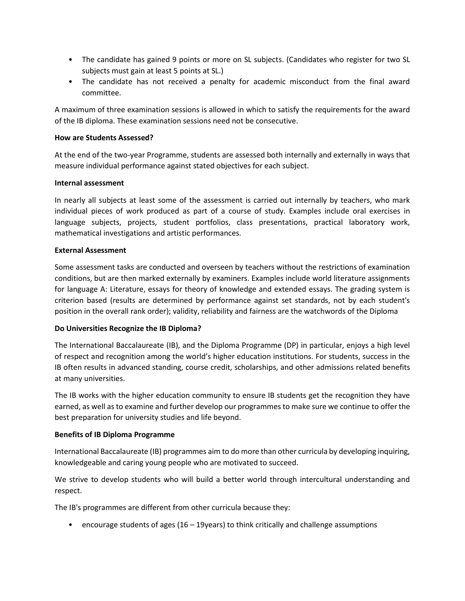- The candidate has gained 9 points or more on SL subjects. (Candidates who register for two SL subjects must gain at least 5 points at SL.)
- The candidate has not received a penalty for academic misconduct from the final award committee.

A maximum of three examination sessions is allowed in which to satisfy the requirements for the award of the IB diploma. These examination sessions need not be consecutive.

### **How are Students Assessed?**

At the end of the two-year Programme, students are assessed both internally and externally in ways that measure individual performance against stated objectives for each subject.

#### **Internal assessment**

In nearly all subjects at least some of the assessment is carried out internally by teachers, who mark individual pieces of work produced as part of a course of study. Examples include oral exercises in language subjects, projects, student portfolios, class presentations, practical laboratory work, mathematical investigations and artistic performances.

#### **External Assessment**

Some assessment tasks are conducted and overseen by teachers without the restrictions of examination conditions, but are then marked externally by examiners. Examples include world literature assignments for language A: Literature, essays for theory of knowledge and extended essays. The grading system is criterion based (results are determined by performance against set standards, not by each student's position in the overall rank order); validity, reliability and fairness are the watchwords of the Diploma

### **Do Universities Recognize the IB Diploma?**

The International Baccalaureate (IB), and the Diploma Programme (DP) in particular, enjoys a high level of respect and recognition among the world's higher education institutions. For students, success in the IB often results in advanced standing, course credit, scholarships, and other admissions related benefits at many universities.

The IB works with the higher education community to ensure IB students get the recognition they have earned, as well as to examine and further develop our programmes to make sure we continue to offer the best preparation for university studies and life beyond.

### **Benefits of IB Diploma Programme**

International Baccalaureate (IB) programmes aim to do more than other curricula by developing inquiring, knowledgeable and caring young people who are motivated to succeed.

We strive to develop students who will build a better world through intercultural understanding and respect.

The IB's programmes are different from other curricula because they:

• encourage students of ages (16 – 19years) to think critically and challenge assumptions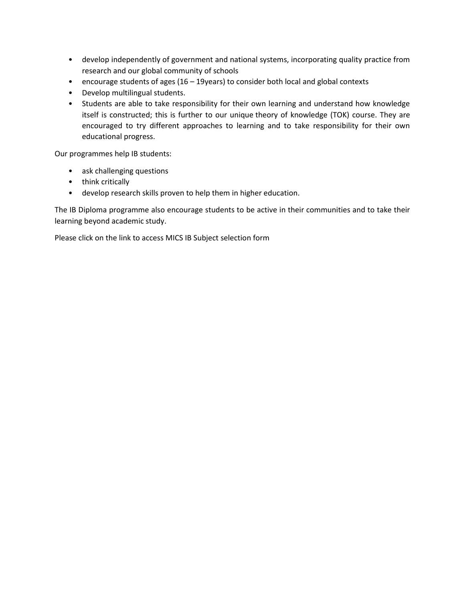- develop independently of government and national systems, incorporating quality practice from research and our global community of schools
- encourage students of ages (16 19years) to consider both local and global contexts
- Develop multilingual students.
- Students are able to take responsibility for their own learning and understand how knowledge itself is constructed; this is further to our unique [theory of knowledge \(TOK\) course.](https://www.ibo.org/programmes/diploma-programme/curriculum/theory-of-knowledge/) They are encouraged to try different approaches to learning and to take responsibility for their own educational progress.

Our programmes help IB students:

- ask challenging questions
- think critically
- develop research skills proven to help them in higher education.

The IB Diploma programme also encourage students to be active in their communities and to take their learning beyond academic study.

Please click on the link to access MICS IB Subject selection form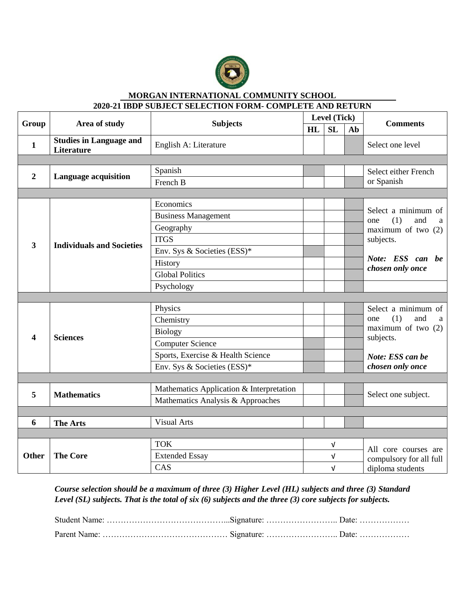

# **MORGAN INTERNATIONAL COMMUNITY SCHOOL**

# **2020-21 IBDP SUBJECT SELECTION FORM- COMPLETE AND RETURN**

| Group          | Area of study                                | <b>Subjects</b>                          | <b>Level (Tick)</b> |                                       |    | <b>Comments</b>                                             |  |
|----------------|----------------------------------------------|------------------------------------------|---------------------|---------------------------------------|----|-------------------------------------------------------------|--|
|                |                                              | <b>HL</b>                                |                     | <b>SL</b>                             | Ab |                                                             |  |
| $\mathbf{1}$   | <b>Studies in Language and</b><br>Literature | English A: Literature                    |                     |                                       |    | Select one level                                            |  |
|                |                                              |                                          |                     |                                       |    |                                                             |  |
| $\overline{2}$ | Language acquisition                         | Spanish                                  |                     |                                       |    | Select either French                                        |  |
|                |                                              | French B                                 |                     |                                       |    | or Spanish                                                  |  |
|                |                                              |                                          |                     |                                       |    |                                                             |  |
| $\overline{3}$ | <b>Individuals and Societies</b>             | Economics                                |                     |                                       |    | Select a minimum of                                         |  |
|                |                                              | <b>Business Management</b>               |                     |                                       |    | (1)<br>and<br>one<br>a<br>maximum of two $(2)$<br>subjects. |  |
|                |                                              | Geography                                |                     |                                       |    |                                                             |  |
|                |                                              | <b>ITGS</b>                              |                     |                                       |    |                                                             |  |
|                |                                              | Env. Sys & Societies (ESS)*              |                     |                                       |    |                                                             |  |
|                |                                              | History                                  |                     |                                       |    | Note: ESS can be                                            |  |
|                |                                              | <b>Global Politics</b>                   |                     |                                       |    | chosen only once                                            |  |
|                |                                              | Psychology                               |                     |                                       |    |                                                             |  |
|                |                                              |                                          |                     |                                       |    |                                                             |  |
|                | <b>Sciences</b>                              | Physics                                  |                     |                                       |    | Select a minimum of                                         |  |
| 4              |                                              | Chemistry                                |                     |                                       |    | (1)<br>and<br>one<br>a<br>maximum of two $(2)$<br>subjects. |  |
|                |                                              | <b>Biology</b>                           |                     |                                       |    |                                                             |  |
|                |                                              | <b>Computer Science</b>                  |                     |                                       |    |                                                             |  |
|                |                                              | Sports, Exercise & Health Science        |                     |                                       |    | Note: ESS can be                                            |  |
|                |                                              | Env. Sys & Societies (ESS)*              |                     |                                       |    | chosen only once                                            |  |
|                |                                              |                                          |                     |                                       |    |                                                             |  |
|                | <b>Mathematics</b>                           | Mathematics Application & Interpretation |                     |                                       |    | Select one subject.                                         |  |
| 5              |                                              | Mathematics Analysis & Approaches        |                     |                                       |    |                                                             |  |
|                |                                              |                                          |                     |                                       |    |                                                             |  |
| 6              | <b>The Arts</b>                              | <b>Visual Arts</b>                       |                     |                                       |    |                                                             |  |
|                |                                              |                                          |                     |                                       |    |                                                             |  |
| <b>Other</b>   | <b>The Core</b>                              | <b>TOK</b>                               |                     | $\sqrt{ }$                            |    | All core courses are                                        |  |
|                |                                              | <b>Extended Essay</b>                    |                     | $\sqrt{ }$<br>compulsory for all full |    |                                                             |  |
|                |                                              | CAS                                      |                     | $\sqrt{ }$                            |    | diploma students                                            |  |

*Course selection should be a maximum of three (3) Higher Level (HL) subjects and three (3) Standard Level (SL) subjects. That is the total of six (6) subjects and the three (3) core subjects for subjects.*